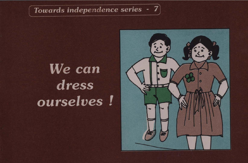## Towards independence series - 7

# We can dress ourselves!

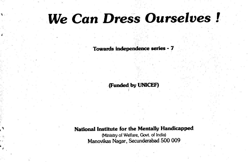# We Can Dress Ourselves!

 $\mathbf{A}$  .

Towards independence series - 7

(Funded by UNICEF)

### National Institute for the Mentally Handicapped

(Ministry of Welfare, Govt. of India) Manovikas Nagar, Secunderabad 500 009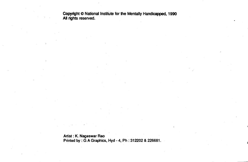Copyright © National Institute for the Mentally Handicapped, 1990 All rights reserved.

Artist : K. Nageswar Rao Printed by : G A Graphics, Hyd - 4, Ph : 312202 & 226681.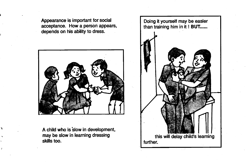Appearance is important for social acceptance. How a persôñ appears, depends on his ability to dress.

A child who is slow in development, may be slow in learning dressing skills too.

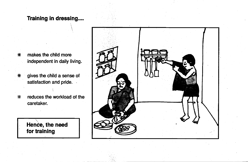### Training in dressing....

\* makes the child more independent in daily living.

\* gives the child a sense of satisfaction and pride.

 $*$  reduces the workload of the caretaker.



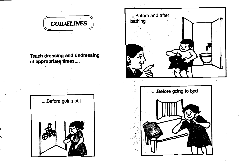**GUIDELINES** 

Teach dressing and undressing at appropriate times....



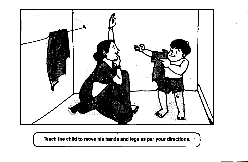

Teach the child to move his hands and legs as per your directions.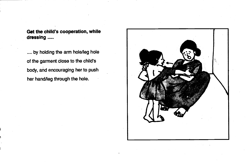Get the child's cooperation, while dressing .....

.... by holding the arm hole/leg hole of the garment close to the child's body, and encouraging her to push her hand/leg through the hole.

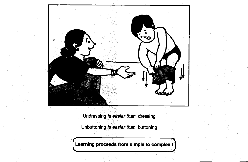

Undressing is easier than dressing

Unbuttoning is easier than buttoning

Learning proceeds from simple to complex !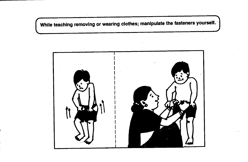While teaching removing or wearing clothes; manipulate the fasteners yourself.

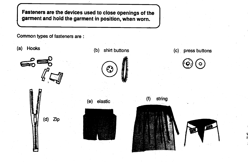Fasteners are the devices used to close openings of the garment and hold the garment in position, when worn.

Common types of fasteners are:

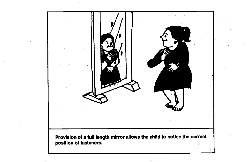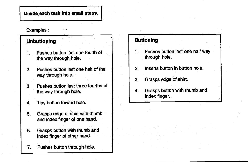Divide each task into small steps.

Examples:

### **Unbuttoning**

1. Pushes button last one fourth of the way through hole.

-

357

- 2. Pushes button last one half of the way through hole.
- 3. Pushes button last three fourths of the way through hole.
- 4. Tips button toward hole.
- 5. Grasps edge of shirt with thumb and index finger of one hand.
- 6. Grasps button with thumb and index finger of other hand.
- 7. Pushes button through hole.

### **Buttoning**

- 1. Pushes button last ohe halt way through hole.
- 2. Inserts button in button hole.
- Grasps edge of shirt. 3.
- Grasps button with thumb and 4. index finger.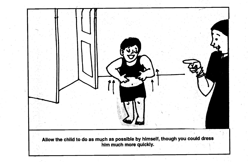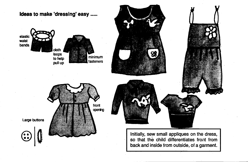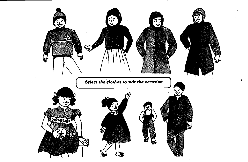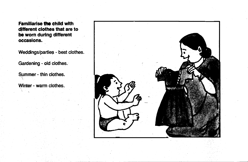**Familiarise the child with** different clothes that are to be worn during different occasions.

Weddings/parties - best clothes.

Gardening - old clothes.

Summer - thin clothes.

Winter - warm clothes.

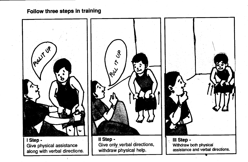Follow three steps in training

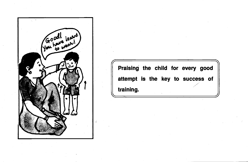

Praising the child for every good attempt is the key to success of training.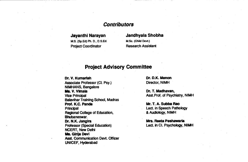#### **Contributors**

MS. (SpEd) Ph. D., D.S.Ed. M.Sc. (Child Devt) Project Coordinator **Research Assistant** 

# Jayanthi Narayan Jandhyala Shobha

#### Project Advisory Committee

Dr. V. Kumarlah Dr. D.K. Menon Associate Professor (CI. Psy.) Director, NIMH NIMHANS, Bangalore<br>Ms. V. Vimala Vice Principal **Asst.Prof. of Psychiatry, NIMH** Balavihar Training School, Madras Principal College of Education. The College of Education College College and Lect. in Speech Pathology<br>
Regional College of Education. A Audiology, NIMH Regional College of Education, Bhubaneswar. **Dr. N.K. Jangira Mrs. Reeta Peshawaria** Mrs. Reeta Peshawaria<br>
Professor (Special Education) **Mrs. Lect. in Cl. Psychology, NIMH** Professor (Special Education) NCERT, New Delhi Ms. Girija Devi Asst. Communication Devt. Officer UNICEF, Hyderabad

Dr. T. Madhavan,

Mr. T. A. Subba Rao